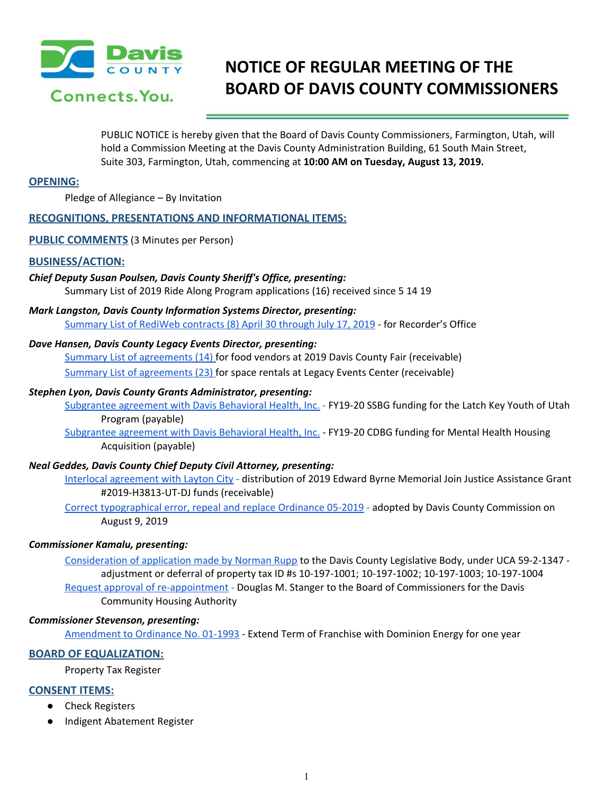

# **NOTICE OF REGULAR MEETING OF THE BOARD OF DAVIS COUNTY COMMISSIONERS**

PUBLIC NOTICE is hereby given that the Board of Davis County Commissioners, Farmington, Utah, will hold a Commission Meeting at the Davis County Administration Building, 61 South Main Street, Suite 303, Farmington, Utah, commencing at **10:00 AM on Tuesday, August 13, 2019.**

# **OPENING:**

Pledge of Allegiance – By Invitation

# **RECOGNITIONS, PRESENTATIONS AND INFORMATIONAL ITEMS:**

**PUBLIC COMMENTS** (3 Minutes per Person)

## **BUSINESS/ACTION:**

## *Chief Deputy Susan Poulsen, Davis County Sheriff's Office, presenting:*

Summary List of 2019 Ride Along Program applications (16) received since 5 14 19

*Mark Langston, Davis County Information Systems Director, presenting:* [Summary](https://drive.google.com/a/co.davis.ut.us/file/d/1lPkZeBnsm64rbww00sZqVeJePFDgGcVQ/view?usp=drivesdk) List of RediWeb contracts (8) April 30 through July 17, 2019 - for Recorder's Office

## *Dave Hansen, Davis County Legacy Events Director, presenting:*

Summary List of [agreements](https://drive.google.com/a/co.davis.ut.us/file/d/1Qyhz32XjkyDVgaEIREwNg88jaPh14MbO/view?usp=drivesdk) (14) for food vendors at 2019 Davis County Fair (receivable) Summary List of [agreements](https://drive.google.com/a/co.davis.ut.us/file/d/1wY_1vs1WjIeKt1K6EClIiGUr9-9eodVB/view?usp=drivesdk) (23) for space rentals at Legacy Events Center (receivable)

#### *Stephen Lyon, Davis County Grants Administrator, presenting:*

[Subgrantee](https://drive.google.com/a/co.davis.ut.us/file/d/16JxsDJ6SqWTpur13oX0VDHXrqwABM2uD/view?usp=drivesdk) agreement with Davis Behavioral Health, Inc. [-](https://drive.google.com/a/co.davis.ut.us/file/d/16JxsDJ6SqWTpur13oX0VDHXrqwABM2uD/view?usp=drivesdk) [FY19-20](https://drive.google.com/a/co.davis.ut.us/file/d/16JxsDJ6SqWTpur13oX0VDHXrqwABM2uD/view?usp=drivesdk) SSBG funding for the Latch Key Youth of Utah Program [\(payable\)](https://drive.google.com/a/co.davis.ut.us/file/d/16JxsDJ6SqWTpur13oX0VDHXrqwABM2uD/view?usp=drivesdk)

[Subgrantee](https://drive.google.com/a/co.davis.ut.us/file/d/17IjDWvnzn9GDwj4j3uXJ4EKSLIBnENyw/view?usp=drivesdk) agreement with Davis Behavioral Health, Inc. [-](https://drive.google.com/a/co.davis.ut.us/file/d/17IjDWvnzn9GDwj4j3uXJ4EKSLIBnENyw/view?usp=drivesdk) FY19-20 CDBG funding for Mental Health [Housing](https://drive.google.com/a/co.davis.ut.us/file/d/17IjDWvnzn9GDwj4j3uXJ4EKSLIBnENyw/view?usp=drivesdk) [Acquisition](https://drive.google.com/a/co.davis.ut.us/file/d/17IjDWvnzn9GDwj4j3uXJ4EKSLIBnENyw/view?usp=drivesdk) (payable)

# *Neal Geddes, Davis County Chief Deputy Civil Attorney, presenting:*

Interlocal [agreement](https://drive.google.com/a/co.davis.ut.us/file/d/1hZlQcJdd7Zmjvu01mNXpr7XlQwfyyAKC/view?usp=drivesdk) with Layton City [-](https://drive.google.com/a/co.davis.ut.us/file/d/1hZlQcJdd7Zmjvu01mNXpr7XlQwfyyAKC/view?usp=drivesdk) [distribution](https://drive.google.com/a/co.davis.ut.us/file/d/1hZlQcJdd7Zmjvu01mNXpr7XlQwfyyAKC/view?usp=drivesdk) of 2019 Edward Byrne Memorial Join Justice Assistance Grant [#2019-H3813-UT-DJ](https://drive.google.com/a/co.davis.ut.us/file/d/1hZlQcJdd7Zmjvu01mNXpr7XlQwfyyAKC/view?usp=drivesdk) funds (receivable)

Correct [typographical](https://drive.google.com/a/co.davis.ut.us/file/d/1HY1ifmxjYzq2tuq3sf2rN93EdSkgmOx4/view?usp=drivesdk) error, repeal and replace Ordinance 05-2019 [-](https://drive.google.com/a/co.davis.ut.us/file/d/1HY1ifmxjYzq2tuq3sf2rN93EdSkgmOx4/view?usp=drivesdk) adopted by Davis County Commission on August 9, 2019

# *Commissioner Kamalu, presenting:*

[Consideration](https://drive.google.com/a/co.davis.ut.us/file/d/1du3UCaULzIdBP6h5HgFwsKJd3U5nN4al/view?usp=drivesdk) of application made by Norman Rupp to the Davis County Legislative Body, under UCA 59-2-1347 adjustment or deferral of property tax ID #s 10-197-1001; 10-197-1002; 10-197-1003; 10-197-1004 Request approval of [re-appointment](https://drive.google.com/a/co.davis.ut.us/file/d/1nwfXiZ1xq6EZzPBafHHMdpNeJqy60QhM/view?usp=drivesdk) [-](https://drive.google.com/a/co.davis.ut.us/file/d/1nwfXiZ1xq6EZzPBafHHMdpNeJqy60QhM/view?usp=drivesdk) Douglas M. Stanger to the Board of [Commissioners](https://drive.google.com/a/co.davis.ut.us/file/d/1nwfXiZ1xq6EZzPBafHHMdpNeJqy60QhM/view?usp=drivesdk) for the Davis [Community](https://drive.google.com/a/co.davis.ut.us/file/d/1nwfXiZ1xq6EZzPBafHHMdpNeJqy60QhM/view?usp=drivesdk) Housing Authority

#### *Commissioner Stevenson, presenting:*

[Amendment](https://drive.google.com/a/co.davis.ut.us/file/d/1sAcucfYV3tcCNTUga7nB73xHjljDkkrI/view?usp=drivesdk) to Ordinance No. 01-1993 - Extend Term of Franchise with [Dominion](https://drive.google.com/a/co.davis.ut.us/file/d/1sAcucfYV3tcCNTUga7nB73xHjljDkkrI/view?usp=drivesdk) Energy for one year

# **BOARD OF EQUALIZATION:**

Property Tax Register

# **CONSENT ITEMS:**

- Check Registers
- Indigent Abatement Register